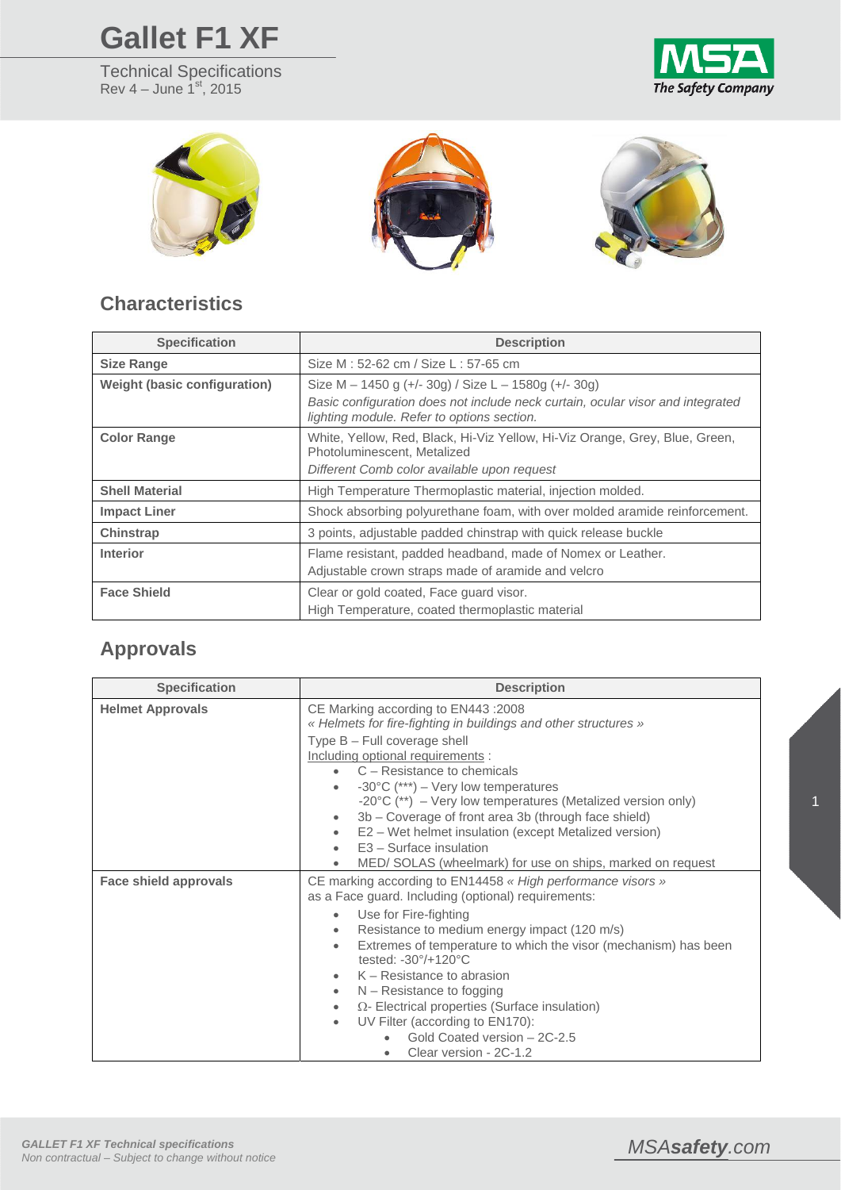## **Gallet F1 XF**

Technical Specifications Rev  $4 -$  June  $1<sup>st</sup>$ , 2015





## **Characteristics**

| <b>Specification</b>         | <b>Description</b>                                                                                                                                                                   |
|------------------------------|--------------------------------------------------------------------------------------------------------------------------------------------------------------------------------------|
| <b>Size Range</b>            | Size M : 52-62 cm / Size L : 57-65 cm                                                                                                                                                |
| Weight (basic configuration) | Size M – 1450 g (+/- 30g) / Size L – 1580g (+/- 30g)<br>Basic configuration does not include neck curtain, ocular visor and integrated<br>lighting module. Refer to options section. |
| <b>Color Range</b>           | White, Yellow, Red, Black, Hi-Viz Yellow, Hi-Viz Orange, Grey, Blue, Green,<br>Photoluminescent, Metalized<br>Different Comb color available upon request                            |
| <b>Shell Material</b>        | High Temperature Thermoplastic material, injection molded.                                                                                                                           |
| <b>Impact Liner</b>          | Shock absorbing polyurethane foam, with over molded aramide reinforcement.                                                                                                           |
| Chinstrap                    | 3 points, adjustable padded chinstrap with quick release buckle                                                                                                                      |
| <b>Interior</b>              | Flame resistant, padded headband, made of Nomex or Leather.<br>Adjustable crown straps made of aramide and velcro                                                                    |
| <b>Face Shield</b>           | Clear or gold coated, Face guard visor.<br>High Temperature, coated thermoplastic material                                                                                           |

## **Approvals**

| <b>Specification</b>         | <b>Description</b>                                                                                                                                                                                                                                                                                                                                                                                                                                                                                                                                                                       |
|------------------------------|------------------------------------------------------------------------------------------------------------------------------------------------------------------------------------------------------------------------------------------------------------------------------------------------------------------------------------------------------------------------------------------------------------------------------------------------------------------------------------------------------------------------------------------------------------------------------------------|
| <b>Helmet Approvals</b>      | CE Marking according to EN443 :2008<br>« Helmets for fire-fighting in buildings and other structures »<br>Type B - Full coverage shell<br>Including optional requirements :<br>C – Resistance to chemicals<br>-30 $\degree$ C (***) – Very low temperatures<br>-20 $\degree$ C (**) – Very low temperatures (Metalized version only)                                                                                                                                                                                                                                                     |
|                              | 3b – Coverage of front area 3b (through face shield)<br>$\bullet$<br>E2 – Wet helmet insulation (except Metalized version)<br>$\bullet$<br>$E3 - Surface$ insulation<br>MED/ SOLAS (wheelmark) for use on ships, marked on request                                                                                                                                                                                                                                                                                                                                                       |
| <b>Face shield approvals</b> | CE marking according to EN14458 « High performance visors »<br>as a Face guard. Including (optional) requirements:<br>Use for Fire-fighting<br>$\bullet$<br>Resistance to medium energy impact (120 m/s)<br>$\bullet$<br>Extremes of temperature to which the visor (mechanism) has been<br>$\bullet$<br>tested: -30°/+120°C<br>$K -$ Resistance to abrasion<br>$\bullet$<br>$N -$ Resistance to fogging<br>$\bullet$<br>$\Omega$ - Electrical properties (Surface insulation)<br>$\bullet$<br>UV Filter (according to EN170):<br>Gold Coated version - 2C-2.5<br>Clear version - 2C-1.2 |